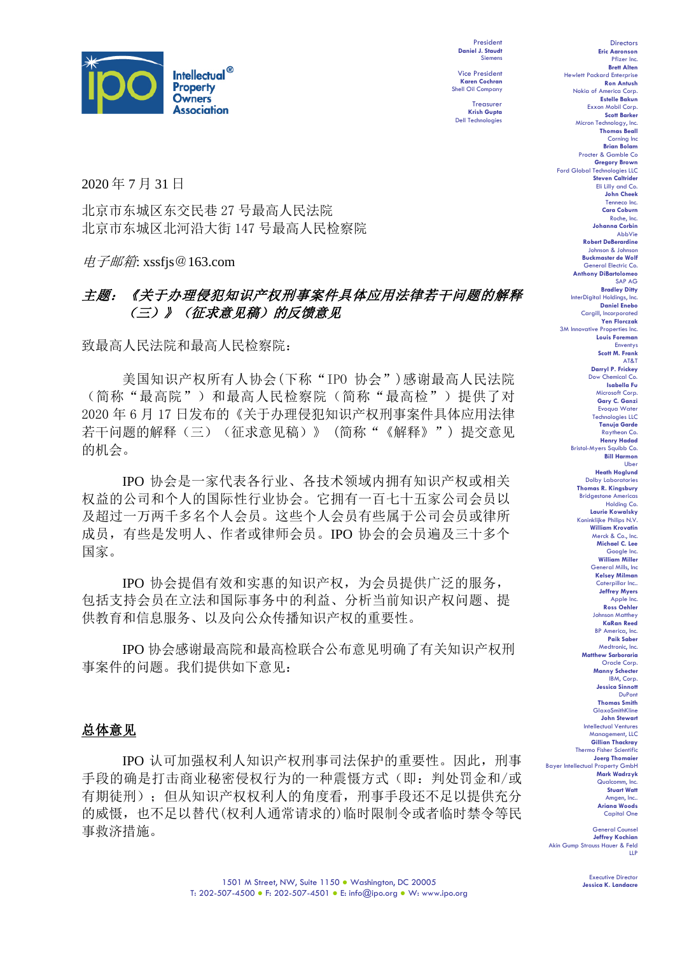

President **Daniel J. Staudt** Siemens Vice President

**Karen Cochran** Shell Oil Company Treasurer

**Krish Gupta** Dell Technologies

**Eric Aaronson**  Pfizer Inc. **Brett Alten** Hewlett Packard Enterprise **Ron Antush** Nokia of America Corp. **Estelle Bakun** Exxon Mobil Corp. **Scott Barker** Micron Technology, Inc. **Thomas Beall** Corning Inc **Brian Bola** Procter & Gamble Co **Gregory Brown** Ford Global Technologies LLC **Steven Caltrider** Eli Lilly and Co. **John Cheek** Tenneco Inc. **Cara Coburn** Roche, Inc. **Johanna Corbin** AbbVie **Robert DeBerardine** Johnson & Johnson **Buckmaster de Wolf** General Electric Co. **Anthony DiBartolomeo** SAP AG **Bradley Ditty** InterDigital Holdings, Inc. **Daniel Enebo** Cargill, Incorporated **Yen Florczak** 3M Innovative Properties Inc. **Louis Foreman** Enventys **Scott M. Frank** AT&T **Darryl P. Frickey** Dow Chemical Co. **Isabella Fu**  Microsoft Corp. **Gary C. Ganzi** Evoqua Water Technologies LLC **Tanuja Garde** Raytheon Co. **Henry Hadad** Bristol-Myers Squibb Co. **Bill Harmon** Uber **Heath Hoglund** Dolby Laboratories **Thomas R. Kingsbury** Bridgestone Americas Holding Co. **Laurie Kowalsky** Koninklijke Philips N.V. **William Krovatin** Merck & Co., Inc. **Michael C. Lee** Google Inc. **William Miller** General Mills, Inc **Kelsey Milman** Caterpillar Inc.. **Jeffrey Myers** Apple Inc. **Ross Oehler** Johnson Matthey **KaRan Reed** BP America, Inc. **Paik Saber** Medtronic, Inc. **Matthew Sarboraria** Oracle Corp. **Manny Schecter** IBM, Corp. **Jessica Sinnott** DuPont **Thomas Smith** GlaxoSmithKline **John Stewart**

Directors

Intellectual Ventures Management, LLC **Gillian Thackray** Thermo Fisher Scientific **Joerg Thomaier** Bayer Intellectual Property GmbH **Mark Wadrzyk** Qualcomm, Inc. **Stuart Watt** Amgen, Inc.. **Ariana Woods** Capital One

General Counsel **Jeffrey Kochian** Akin Gump Strauss Hauer & Feld

LLP

Executive Director **Jessica K. Landacre**

2020 年 7 月 31 日

北京市东城区东交民巷 27 号最高人民法院 北京市东城区北河沿大街 147 号最高人民检察院

电子邮箱: xssfjs@163.com

# 主题:《关于办理侵犯知识产权刑事案件具体应用法律若干问题的解释 (三)》(征求意见稿)的反馈意见

致最高人民法院和最高人民检察院:

美国知识产权所有人协会(下称"IPO 协会")感谢最高人民法院 (简称"最高院")和最高人民检察院(简称"最高检")提供了对 2020 年 6 月 17 日发布的《关于办理侵犯知识产权刑事案件具体应用法律 若干问题的解释(三)(征求意见稿)》 (简称"《解释》") 提交意见 的机会。

IPO 协会是一家代表各行业、各技术领域内拥有知识产权或相关 权益的公司和个人的国际性行业协会。它拥有一百七十五家公司会员以 及超过一万两千多名个人会员。这些个人会员有些属于公司会员或律所 成员,有些是发明人、作者或律师会员。IPO 协会的会员遍及三十多个 国家。

IPO 协会提倡有效和实惠的知识产权,为会员提供广泛的服务, 包括支持会员在立法和国际事务中的利益、分析当前知识产权问题、提 供教育和信息服务、以及向公众传播知识产权的重要性。

IPO 协会感谢最高院和最高检联合公布意见明确了有关知识产权刑 事案件的问题。我们提供如下意见:

# 总体意见

IPO 认可加强权利人知识产权刑事司法保护的重要性。因此,刑事 手段的确是打击商业秘密侵权行为的一种震慑方式(即:判处罚金和/或 有期徒刑);但从知识产权权利人的角度看,刑事手段还不足以提供充分 的威慑,也不足以替代(权利人通常请求的)临时限制今或者临时禁令等民 事救济措施。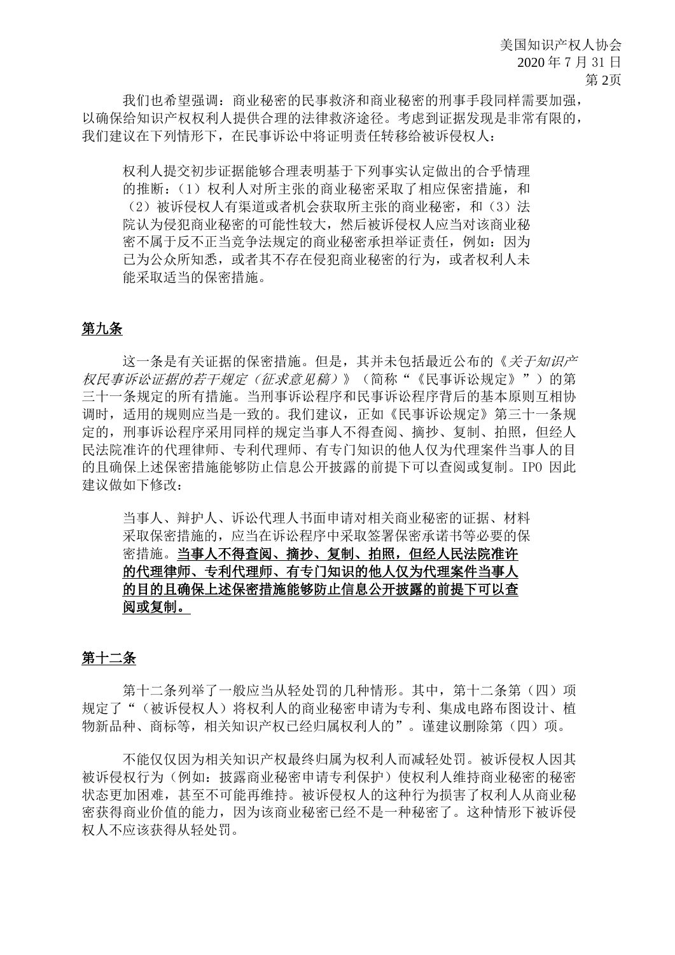美国知识产权人协会 2020 年 7 月 31 日 第 2页

我们也希望强调:商业秘密的民事救济和商业秘密的刑事手段同样需要加强, 以确保给知识产权权利人提供合理的法律救济途径。考虑到证据发现是非常有限的, 我们建议在下列情形下,在民事诉讼中将证明责任转移给被诉侵权人:

权利人提交初步证据能够合理表明基于下列事实认定做出的合乎情理 的推断:(1)权利人对所主张的商业秘密采取了相应保密措施,和 (2)被诉侵权人有渠道或者机会获取所主张的商业秘密,和(3)法 院认为侵犯商业秘密的可能性较大,然后被诉侵权人应当对该商业秘 密不属于反不正当竞争法规定的商业秘密承担举证责任,例如:因为 已为公众所知悉,或者其不存在侵犯商业秘密的行为,或者权利人未 能采取适当的保密措施。

#### 第九条

这一条是有关证据的保密措施。但是,其并未包括最近公布的《关于知识产 权民事诉讼证据的若干规定(征求意见稿)》(简称"《民事诉讼规定》")的第 三十一条规定的所有措施。当刑事诉讼程序和民事诉讼程序背后的基本原则互相协 调时,适用的规则应当是一致的。我们建议,正如《民事诉讼规定》第三十一条规 定的,刑事诉讼程序采用同样的规定当事人不得查阅、摘抄、复制、拍照,但经人 民法院准许的代理律师、专利代理师、有专门知识的他人仅为代理案件当事人的目 的且确保上述保密措施能够防止信息公开披露的前提下可以查阅或复制。IPO 因此 建议做如下修改:

当事人、辩护人、诉讼代理人书面申请对相关商业秘密的证据、材料 采取保密措施的,应当在诉讼程序中采取签署保密承诺书等必要的保 密措施。当事人不得查阅、摘抄、复制、拍照,但经人民法院准许 的代理律师、专利代理师、有专门知识的他人仅为代理案件当事人 的目的且确保上述保密措施能够防止信息公开披露的前提下可以查 阅或复制。

# 第十二条

第十二条列举了一般应当从轻处罚的几种情形。其中, 第十二条第(四)项 规定了"(被诉侵权人)将权利人的商业秘密申请为专利、集成电路布图设计、植 物新品种、商标等,相关知识产权已经归属权利人的"。谨建议删除第(四)项。

不能仅仅因为相关知识产权最终归属为权利人而减轻处罚。被诉侵权人因其 被诉侵权行为(例如: 披露商业秘密申请专利保护)使权利人维持商业秘密的秘密 状态更加困难,甚至不可能再维持。被诉侵权人的这种行为损害了权利人从商业秘 密获得商业价值的能力,因为该商业秘密已经不是一种秘密了。这种情形下被诉侵 权人不应该获得从轻处罚。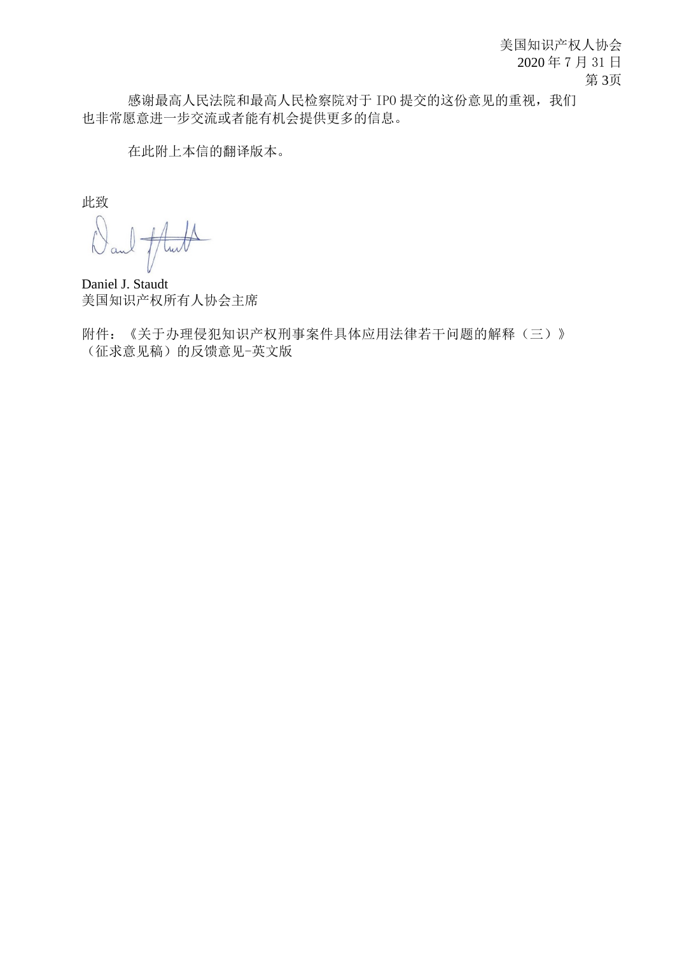美国知识产权人协会 2020 年 7 月 31 日 第 3页

感谢最高人民法院和最高人民检察院对于 IPO 提交的这份意见的重视,我们 也非常愿意进一步交流或者能有机会提供更多的信息。

在此附上本信的翻译版本。

此致

Daniel J. Staudt 美国知识产权所有人协会主席

附件:《关于办理侵犯知识产权刑事案件具体应用法律若干问题的解释(三)》 (征求意见稿)的反馈意见-英文版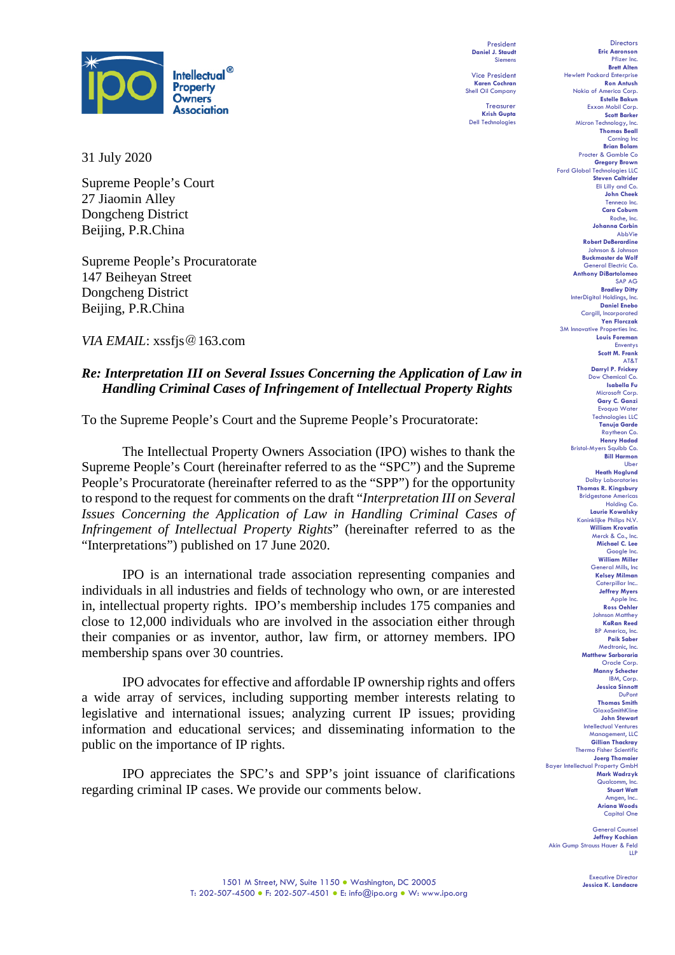

31 July 2020

Supreme People's Court 27 Jiaomin Alley Dongcheng District Beijing, P.R.China

Supreme People's Procuratorate 147 Beiheyan Street Dongcheng District Beijing, P.R.China

*VIA EMAIL*: xssfjs@163.com

#### *Re: Interpretation III on Several Issues Concerning the Application of Law in Handling Criminal Cases of Infringement of Intellectual Property Rights*

To the Supreme People's Court and the Supreme People's Procuratorate:

The Intellectual Property Owners Association (IPO) wishes to thank the Supreme People's Court (hereinafter referred to as the "SPC") and the Supreme People's Procuratorate (hereinafter referred to as the "SPP") for the opportunity to respond to the request for comments on the draft "*Interpretation III on Several Issues Concerning the Application of Law in Handling Criminal Cases of Infringement of Intellectual Property Rights*" (hereinafter referred to as the "Interpretations") published on 17 June 2020.

IPO is an international trade association representing companies and individuals in all industries and fields of technology who own, or are interested in, intellectual property rights. IPO's membership includes 175 companies and close to 12,000 individuals who are involved in the association either through their companies or as inventor, author, law firm, or attorney members. IPO membership spans over 30 countries.

IPO advocates for effective and affordable IP ownership rights and offers a wide array of services, including supporting member interests relating to legislative and international issues; analyzing current IP issues; providing information and educational services; and disseminating information to the public on the importance of IP rights.

IPO appreciates the SPC's and SPP's joint issuance of clarifications regarding criminal IP cases. We provide our comments below.

President **Daniel J. Staudt** Siemens

Vice President **Karen Cochran** Shell Oil Company

Treasurer **Krish Gupta** Dell Technologies

**Eric Aaronson**  Pfizer Inc. **Brett Alten** Hewlett Packard Enterprise **Ron Antush** Nokia of America Corp. **Estelle Bakun** Exxon Mobil Corp. **Scott Barker** Micron Technology, Inc. **Thomas Beall** Corning Inc **Brian Bola** Procter & Gamble Co **Gregory Brown** Ford Global Technologies LLC **Steven Caltrider** Eli Lilly and Co. **John Cheek** Tenneco Inc. **Cara Coburn** Roche, Inc. **Johanna Corbin** AbbVie **Robert DeBerardine** Johnson & Johnson **Buckmaster de Wolf** General Electric Co. **Anthony DiBartolomeo** SAP AG **Bradley Ditty** InterDigital Holdings, Inc. **Daniel Enebo** Cargill, Incorporated **Yen Florczak** 3M Innovative Properties Inc. **Louis Foreman** Enventys **Scott M. Frank** AT&T **Darryl P. Frickey** Dow Chemical Co. **Isabella Fu**  Microsoft Corp. **Gary C. Ganzi** Evoqua Water Technologies LLC **Tanuja Garde** Raytheon Co. **Henry Hadad** Bristol-Myers Squibb Co. **Bill Harmon** Ube **Heath Hoglund** Dolby Laboratories **Thomas R. Kingsbury** Bridgestone Americas Holding Co. **Laurie Kowalsky** Koninklijke Philips N.V. **William Krovatin** Merck & Co., Inc. **Michael C. Lee** Google Inc. **William Miller** General Mills, Inc **Kelsey Milman** Caterpillar Inc.. **Jeffrey Myers** Apple Inc. **Ross Oehler** Johnson Matthey **KaRan Reed** BP America, Inc. **Paik Saber** Medtronic, Inc. **Matthew Sarboraria** Oracle Corp. **Manny Schecter** IBM, Corp. **Jessica Sinnott** DuPont **Thomas Smith** GlaxoSmithKline **John Stewart** Intellectual Ventures Management, LLC **Gillian Thackray** Thermo Fisher Scientific **Joerg Thomaier** Bayer Intellectual Property GmbH **Mark Wadrzyk** Qualcomm, I **Stuart Watt** Amgen, Inc.. **Ariana Woods**

Directors

General Counsel **Jeffrey Kochian** Akin Gump Strauss Hauer & Feld LLP

Capital One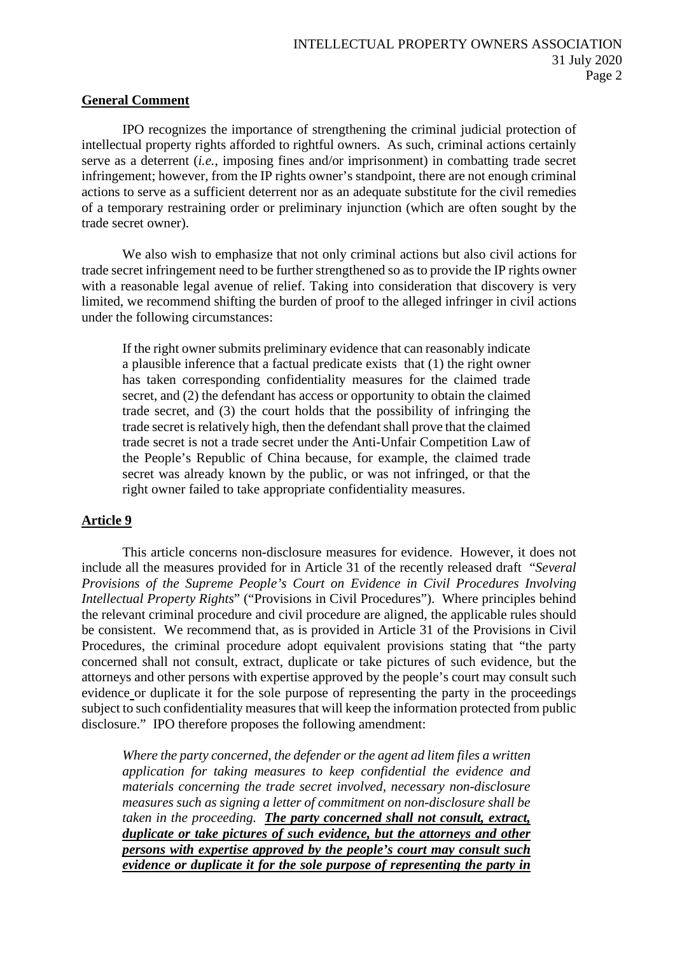#### **General Comment**

IPO recognizes the importance of strengthening the criminal judicial protection of intellectual property rights afforded to rightful owners. As such, criminal actions certainly serve as a deterrent (*i.e.*, imposing fines and/or imprisonment) in combatting trade secret infringement; however, from the IP rights owner's standpoint, there are not enough criminal actions to serve as a sufficient deterrent nor as an adequate substitute for the civil remedies of a temporary restraining order or preliminary injunction (which are often sought by the trade secret owner).

We also wish to emphasize that not only criminal actions but also civil actions for trade secret infringement need to be further strengthened so as to provide the IP rights owner with a reasonable legal avenue of relief. Taking into consideration that discovery is very limited, we recommend shifting the burden of proof to the alleged infringer in civil actions under the following circumstances:

If the right owner submits preliminary evidence that can reasonably indicate a plausible inference that a factual predicate exists that (1) the right owner has taken corresponding confidentiality measures for the claimed trade secret, and (2) the defendant has access or opportunity to obtain the claimed trade secret, and (3) the court holds that the possibility of infringing the trade secret is relatively high, then the defendant shall prove that the claimed trade secret is not a trade secret under the Anti-Unfair Competition Law of the People's Republic of China because, for example, the claimed trade secret was already known by the public, or was not infringed, or that the right owner failed to take appropriate confidentiality measures.

# **Article 9**

This article concerns non-disclosure measures for evidence. However, it does not include all the measures provided for in Article 31 of the recently released draft "*Several Provisions of the Supreme People's Court on Evidence in Civil Procedures Involving Intellectual Property Rights*" ("Provisions in Civil Procedures"). Where principles behind the relevant criminal procedure and civil procedure are aligned, the applicable rules should be consistent. We recommend that, as is provided in Article 31 of the Provisions in Civil Procedures, the criminal procedure adopt equivalent provisions stating that "the party concerned shall not consult, extract, duplicate or take pictures of such evidence, but the attorneys and other persons with expertise approved by the people's court may consult such evidence or duplicate it for the sole purpose of representing the party in the proceedings subject to such confidentiality measures that will keep the information protected from public disclosure." IPO therefore proposes the following amendment:

*Where the party concerned, the defender or the agent ad litem files a written application for taking measures to keep confidential the evidence and materials concerning the trade secret involved, necessary non-disclosure measures such as signing a letter of commitment on non-disclosure shall be taken in the proceeding. The party concerned shall not consult, extract, duplicate or take pictures of such evidence, but the attorneys and other persons with expertise approved by the people's court may consult such evidence or duplicate it for the sole purpose of representing the party in*